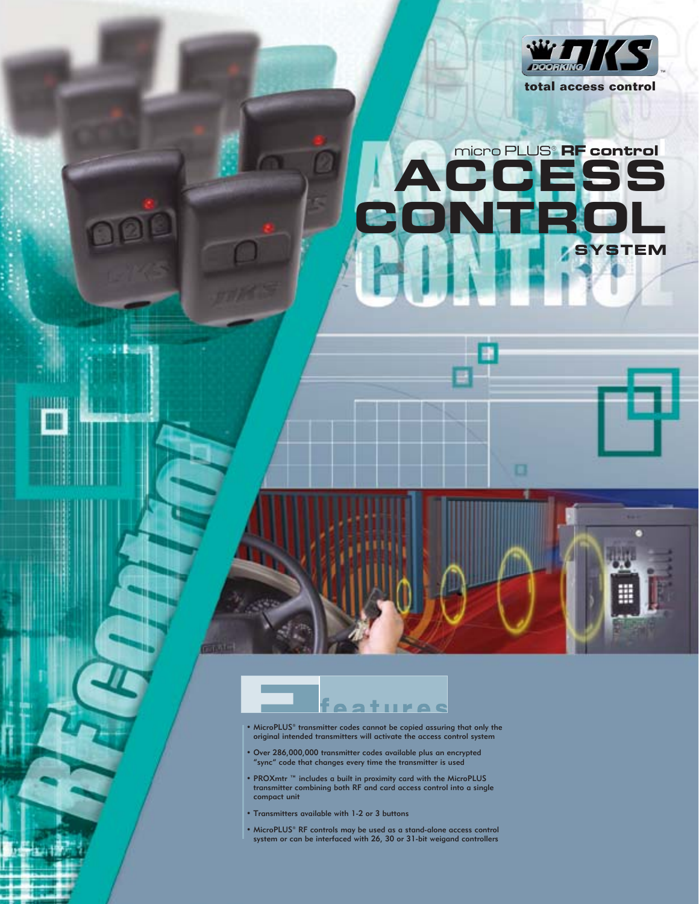

## micro PLUS® **RF controll ACCESS CONTROL STEM**

J,



ы

1919

**HATTER** 

- MicroPLUS® transmitter codes cannot be copied assuring that only the original intended transmitters will activate the access control system
- Over 286,000,000 transmitter codes available plus an encrypted "sync" code that changes every time the transmitter is used
- PROXmtr ™ includes a built in proximity card with the MicroPLUS transmitter combining both RF and card access control into a single compact unit
- Transmitters available with 1-2 or 3 buttons
- MicroPLUS® RF controls may be used as a stand-alone access control system or can be interfaced with 26, 30 or 31-bit weigand controllers